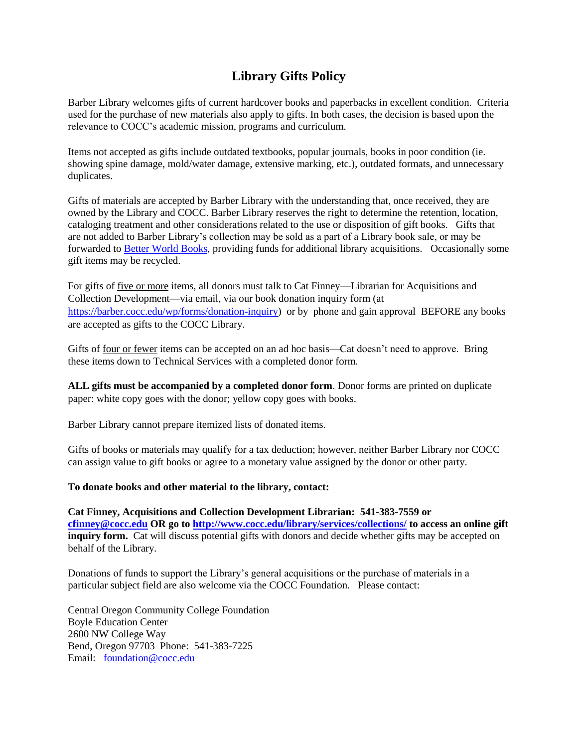## **Library Gifts Policy**

Barber Library welcomes gifts of current hardcover books and paperbacks in excellent condition. Criteria used for the purchase of new materials also apply to gifts. In both cases, the decision is based upon the relevance to COCC's academic mission, programs and curriculum.

Items not accepted as gifts include outdated textbooks, popular journals, books in poor condition (ie. showing spine damage, mold/water damage, extensive marking, etc.), outdated formats, and unnecessary duplicates.

Gifts of materials are accepted by Barber Library with the understanding that, once received, they are owned by the Library and COCC. Barber Library reserves the right to determine the retention, location, cataloging treatment and other considerations related to the use or disposition of gift books. Gifts that are not added to Barber Library's collection may be sold as a part of a Library book sale, or may be forwarded to [Better World Books,](http://www.betterworldbooks.com/) providing funds for additional library acquisitions. Occasionally some gift items may be recycled.

For gifts of five or more items, all donors must talk to Cat Finney—Librarian for Acquisitions and Collection Development—via email, via our book donation inquiry form (at [https://barber.cocc.edu/wp/forms/donation-inquiry\)](https://barber.cocc.edu/wp/forms/donation-inquiry) or by phone and gain approval BEFORE any books are accepted as gifts to the COCC Library.

Gifts of four or fewer items can be accepted on an ad hoc basis—Cat doesn't need to approve. Bring these items down to Technical Services with a completed donor form.

**ALL gifts must be accompanied by a completed donor form**. Donor forms are printed on duplicate paper: white copy goes with the donor; yellow copy goes with books.

Barber Library cannot prepare itemized lists of donated items.

Gifts of books or materials may qualify for a tax deduction; however, neither Barber Library nor COCC can assign value to gift books or agree to a monetary value assigned by the donor or other party.

## **To donate books and other material to the library, contact:**

**Cat Finney, Acquisitions and Collection Development Librarian: 541-383-7559 or [cfinney@cocc.edu](mailto:cfinney@cocc.edu) OR go to<http://www.cocc.edu/library/services/collections/> to access an online gift inquiry form.** Cat will discuss potential gifts with donors and decide whether gifts may be accepted on behalf of the Library.

Donations of funds to support the Library's general acquisitions or the purchase of materials in a particular subject field are also welcome via the COCC Foundation. Please contact:

Central Oregon Community College Foundation Boyle Education Center 2600 NW College Way Bend, Oregon 97703 Phone: 541-383-7225 Email: [foundation@cocc.edu](mailto:foundation@cocc.edu?subject=Foundation%20Web%20Inquiry)